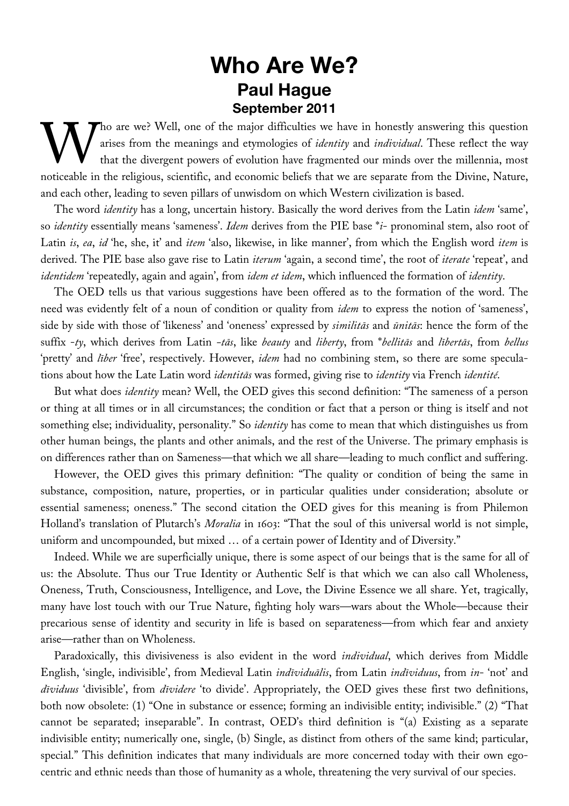## **Who Are We? Paul Hague September 2011**

Tho are we? Well, one of the major difficulties we have in honestly answering this question arises from the meanings and etymologies of *identity* and *individual*. These reflect the way that the divergent powers of evolution have fragmented our minds over the millennia, most Tho are we? Well, one of the major difficulties we have in honestly answering this question arises from the meanings and etymologies of *identity* and *individual*. These reflect the way that the divergent powers of evolut and each other, leading to seven pillars of unwisdom on which Western civilization is based.

The word *identity* has a long, uncertain history. Basically the word derives from the Latin *idem* 'same', so *identity* essentially means 'sameness'. *Idem* derives from the PIE base \**i*- pronominal stem, also root of Latin *is*, *ea*, *id* 'he, she, it' and *item* 'also, likewise, in like manner', from which the English word *item* is derived. The PIE base also gave rise to Latin *iterum* 'again, a second time', the root of *iterate* 'repeat', and *identidem* 'repeatedly, again and again', from *idem et idem*, which influenced the formation of *identity*.

The OED tells us that various suggestions have been offered as to the formation of the word. The need was evidently felt of a noun of condition or quality from *idem* to express the notion of 'sameness', side by side with those of 'likeness' and 'oneness' expressed by *similitās* and *ūnitās*: hence the form of the suffix -*ty*, which derives from Latin *-tās*, like *beauty* and *liberty*, from \**bellitās* and *lībertās*, from *bellus* 'pretty' and *līber* 'free', respectively. However, *idem* had no combining stem, so there are some speculations about how the Late Latin word *identitās* was formed, giving rise to *identity* via French *identité*.

But what does *identity* mean? Well, the OED gives this second definition: "The sameness of a person or thing at all times or in all circumstances; the condition or fact that a person or thing is itself and not something else; individuality, personality." So *identity* has come to mean that which distinguishes us from other human beings, the plants and other animals, and the rest of the Universe. The primary emphasis is on differences rather than on Sameness—that which we all share—leading to much conflict and suffering.

However, the OED gives this primary definition: "The quality or condition of being the same in substance, composition, nature, properties, or in particular qualities under consideration; absolute or essential sameness; oneness." The second citation the OED gives for this meaning is from Philemon Holland's translation of Plutarch's *Moralia* in 1603: "That the soul of this universal world is not simple, uniform and uncompounded, but mixed … of a certain power of Identity and of Diversity."

Indeed. While we are superficially unique, there is some aspect of our beings that is the same for all of us: the Absolute. Thus our True Identity or Authentic Self is that which we can also call Wholeness, Oneness, Truth, Consciousness, Intelligence, and Love, the Divine Essence we all share. Yet, tragically, many have lost touch with our True Nature, fighting holy wars—wars about the Whole—because their precarious sense of identity and security in life is based on separateness—from which fear and anxiety arise—rather than on Wholeness.

Paradoxically, this divisiveness is also evident in the word *individual*, which derives from Middle English, 'single, indivisible', from Medieval Latin *indīviduālis*, from Latin *indīviduus*, from *in*- 'not' and *dīviduus* 'divisible', from *dīvidere* 'to divide'. Appropriately, the OED gives these first two definitions, both now obsolete: (1) "One in substance or essence; forming an indivisible entity; indivisible." (2) "That cannot be separated; inseparable". In contrast, OED's third definition is "(a) Existing as a separate indivisible entity; numerically one, single, (b) Single, as distinct from others of the same kind; particular, special." This definition indicates that many individuals are more concerned today with their own egocentric and ethnic needs than those of humanity as a whole, threatening the very survival of our species.